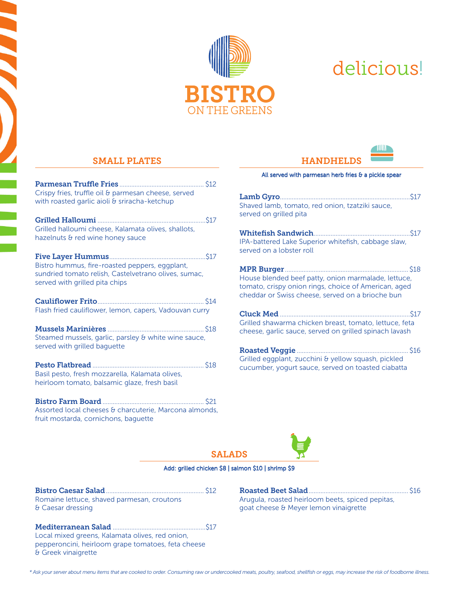

# delicious!

### SMALL PLATES

**September** 

| Crispy fries, truffle oil & parmesan cheese, served<br>with roasted garlic aioli & sriracha-ketchup                                      |  |
|------------------------------------------------------------------------------------------------------------------------------------------|--|
| Grilled halloumi cheese, Kalamata olives, shallots,<br>hazelnuts & red wine honey sauce                                                  |  |
| Bistro hummus, fire-roasted peppers, eggplant,<br>sundried tomato relish, Castelvetrano olives, sumac,<br>served with grilled pita chips |  |
| Flash fried cauliflower, lemon, capers, Vadouvan curry                                                                                   |  |
| Steamed mussels, garlic, parsley & white wine sauce,<br>served with grilled baguette                                                     |  |
| Basil pesto, fresh mozzarella, Kalamata olives,<br>heirloom tomato, balsamic glaze, fresh basil                                          |  |
| Assorted local cheeses & charcuterie, Marcona almonds,<br>fruit mostarda, cornichons, baquette                                           |  |

## **HANDHELDS** All served with parmesan herb fries  $\theta$  a pickle spear

**TIIIIT** 

| .517<br>Shaved lamb, tomato, red onion, tzatziki sauce,<br>served on grilled pita                                                                               |
|-----------------------------------------------------------------------------------------------------------------------------------------------------------------|
| S17<br>IPA-battered Lake Superior whitefish, cabbage slaw,<br>served on a lobster roll                                                                          |
| House blended beef patty, onion marmalade, lettuce,<br>tomato, crispy onion rings, choice of American, aged<br>cheddar or Swiss cheese, served on a brioche bun |
| <b>S17</b><br>Grilled shawarma chicken breast, tomato, lettuce, feta<br>cheese, garlic sauce, served on grilled spinach lavash                                  |
| \$16<br>Grilled eggplant, zucchini & yellow squash, pickled<br>cucumber, yogurt sauce, served on toasted ciabatta                                               |



#### Add: grilled chicken \$8 | salmon \$10 | shrimp \$9

Bistro Caesar Salad.......................................................... \$12 Romaine lettuce, shaved parmesan, croutons & Caesar dressing

Mediterranean Salad .......................................................\$17 Local mixed greens, Kalamata olives, red onion, pepperoncini, heirloom grape tomatoes, feta cheese & Greek vinaigrette

Roasted Beet Salad ........................................................... \$16 Arugula, roasted heirloom beets, spiced pepitas, goat cheese & Meyer lemon vinaigrette